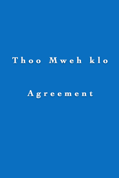## Thoo Mweh klo

## Agreement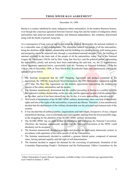## **THOO MWEH KLO AGREEMENT1**

December 14, 1998

Burma is a country inhabited by many indigenous ethnic nationalities. In the modern Burmese history, even though the consensus agreement between General Aung San and the leaders of indigenous ethnic nationalities had achieved national solidarity and obtained independence, this solidarity deteriorated along with the death of general Aung San.

As a consequence of long years of oppression under the military dictatorship, the national solidarity is in a vulnerable state of total disintegration. The immediate need of the people of all the nationalities, being the abolition of the military dictatorship and the building of a modern society with lasting peace and prosperity, could be achieved only through a consolidated national strength. Thus, the building of national solidarity is the main task of the people of all the nationalities, today. Just as the National League for Democracy (NLD), led by Daw Aung San Suu Kyi, and the political parties representing the nationalities, jointly and actively have been undertaking the said task, we, the 23 organizations, whose signatures appeared below, successfully held the "Seminar on National Solidarity," from the 12th to 14th of December, 1998, at Thoo Mweh Klo, Kawthoolei State, and unanimously reached the agreement given below.

- 1. The Seminar recognized that the 1947 Panglong Agreement and pledges contained in the Agreement, the 1990 Bo Aung Kyaw Street Declaration, the 1992 Marnerplaw Agreement and the 1997 Mae Tha Raw Hta Agreement are the historic agreements representing the fundamental interest of the ethnic nationalities and the people.
- 2. The Seminar unanimously determined that the conflict prevailing in Burma is a conflict between the oppressive military dictatorship, on the one side, and the oppressed people of all the nationalities on the other, and as it has been intensifying, day by day, it is now approaching a decisive stage.
- 3. As a result of domination of the SLORC/SPDC military dictatorship, there was lack of democratic rights and loss of the rights of the nationalities, in present day Burma. Therefore, it was unanimously decided that the abolishment of the military dictatorship was the principal and common task of the country.
- 4. It was decided that all political parties, organizations and individuals, irrespective of race, religion and political ideology, were to join hands and work together, starting from the lowest possible stage, in the struggling for the abolition of the SLORC/SPDC military dictatorship.
- 5. The SLORC/SPDC has no right to lead in organizing and convening the National Convention. Therefore, the Seminar unanimously decided that the National Convention of the SPDC could absolutely not be accepted.
- 6. The Seminar unanimously decided to promote and practice the multi-party democratic system, in accordance with aspiration of the entire people of all the Nationalities.
- 7. The Seminar unanimously decided to establish a genuine federal union, composed of national states, having national equality and full right of self-determination.
- 8. The Seminar decided to support the demand for the convening of parliament, formation of the Committee Representing People's Parliament and the Parliamentary Affairs Committees by the

 $\overline{a}$ 

<sup>&</sup>lt;sup>1</sup> Ethnic Nationalities Council, Historic Agreements, available at http://www.encburma.org/ agreements.htm (Last visited on January 5, 2007).